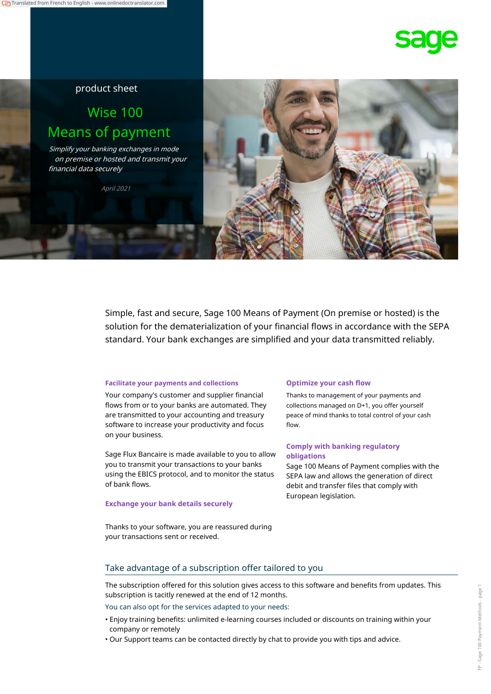## product sheet

# Wise 100 Means of payment

Simplify your banking exchanges in mode on premise or hosted and transmit your financial data securely

April 2021



Simple, fast and secure, Sage 100 Means of Payment (On premise or hosted) is the solution for the dematerialization of your financial flows in accordance with the SEPA standard. Your bank exchanges are simplified and your data transmitted reliably.

### **Facilitate your payments and collections Optimize your cash flow**

Your company's customer and supplier financial flows from or to your banks are automated. They are transmitted to your accounting and treasury software to increase your productivity and focus on your business.

Sage Flux Bancaire is made available to you to allow you to transmit your transactions to your banks using the EBICS protocol, and to monitor the status of bank flows.

### **Exchange your bank details securely**

Thanks to management of your payments and collections managed on D+1, you offer yourself peace of mind thanks to total control of your cash flow.

## **Comply with banking regulatory obligations**

Sage 100 Means of Payment complies with the SEPA law and allows the generation of direct debit and transfer files that comply with European legislation.

Thanks to your software, you are reassured during your transactions sent or received.

## Take advantage of a subscription offer tailored to you

The subscription offered for this solution gives access to this software and benefits from updates. This subscription is tacitly renewed at the end of 12 months.

You can also opt for the services adapted to your needs:

- Enjoy training benefits: unlimited e-learning courses included or discounts on training within your company or remotely
- Our Support teams can be contacted directly by chat to provide you with tips and advice.